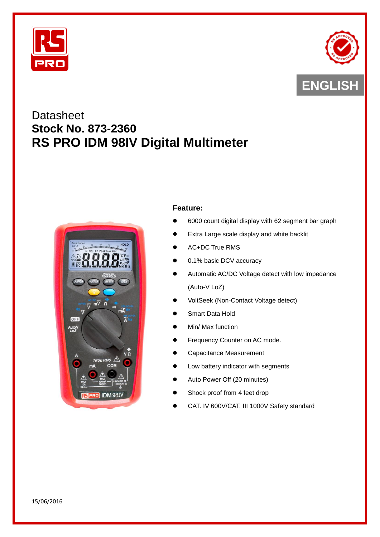



# **Datasheet Stock No. 873-2360 RS PRO IDM 98IV Digital Multimeter**



# **Feature:**

- 6000 count digital display with 62 segment bar graph
- Extra Large scale display and white backlit
- AC+DC True RMS
- 0.1% basic DCV accuracy
- Automatic AC/DC Voltage detect with low impedance (Auto-V LoZ)
- VoltSeek (Non-Contact Voltage detect)
- Smart Data Hold
- Min/ Max function
- Frequency Counter on AC mode.
- Capacitance Measurement
- Low battery indicator with segments
- Auto Power Off (20 minutes)
- Shock proof from 4 feet drop
- CAT. IV 600V/CAT. III 1000V Safety standard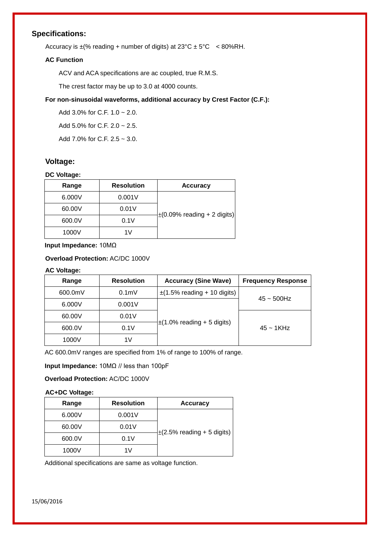# **Specifications:**

Accuracy is  $\pm$ (% reading + number of digits) at  $23^{\circ}$ C  $\pm$  5°C < 80%RH.

#### **AC Function**

ACV and ACA specifications are ac coupled, true R.M.S.

The crest factor may be up to 3.0 at 4000 counts.

#### **For non-sinusoidal waveforms, additional accuracy by Crest Factor (C.F.):**

Add 3.0% for C.F. 1.0 ~ 2.0.

Add 5.0% for C.F. 2.0 ~ 2.5.

Add 7.0% for C.F. 2.5 ~ 3.0.

# **Voltage:**

#### **DC Voltage:**

| <b>Accuracy</b>                  | <b>Resolution</b> | Range  |
|----------------------------------|-------------------|--------|
|                                  | 0.001V            | 6.000V |
| $\pm$ (0.09% reading + 2 digits) | 0.01V             | 60.00V |
|                                  | 0.1V              | 600.0V |
|                                  | 1 $V$             | 1000V  |

**Input Impedance:** 10MΩ

#### **Overload Protection:** AC/DC 1000V

# **AC Voltage:**

| Range   | <b>Resolution</b> | <b>Accuracy (Sine Wave)</b>      | <b>Frequency Response</b> |
|---------|-------------------|----------------------------------|---------------------------|
| 600.0mV | 0.1 <sub>m</sub>  | $\pm$ (1.5% reading + 10 digits) | $45 \sim 500$ Hz          |
| 6.000V  | 0.001V            |                                  |                           |
| 60.00V  | 0.01V             |                                  |                           |
| 600.0V  | 0.1V              | $\pm$ (1.0% reading + 5 digits)  | $45 \sim 1$ KHz           |
| 1000V   | 1V                |                                  |                           |

AC 600.0mV ranges are specified from 1% of range to 100% of range.

**Input Impedance:** 10MΩ // less than 100pF

**Overload Protection:** AC/DC 1000V

#### **AC+DC Voltage:**

| Range  | <b>Resolution</b> | <b>Accuracy</b>                 |
|--------|-------------------|---------------------------------|
| 6.000V | 0.001V            |                                 |
| 60.00V | 0.01V             |                                 |
| 600.0V | 0.1V              | $\pm$ (2.5% reading + 5 digits) |
| 1000V  |                   |                                 |

Additional specifications are same as voltage function.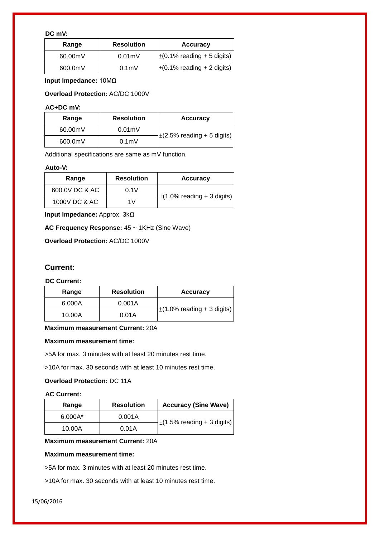#### **DC mV:**

| Range   | <b>Resolution</b> | <b>Accuracy</b>                 |
|---------|-------------------|---------------------------------|
| 60.00mV | 0.01 <sub>m</sub> | $\pm$ (0.1% reading + 5 digits) |
| 600.0mV | 0.1 <sub>m</sub>  | $\pm$ (0.1% reading + 2 digits) |

**Input Impedance:** 10MΩ

**Overload Protection:** AC/DC 1000V

#### **AC+DC mV:**

| Range   | <b>Resolution</b> | <b>Accuracy</b>                 |
|---------|-------------------|---------------------------------|
| 60.00mV | 0.01 <sub>m</sub> | $\pm$ (2.5% reading + 5 digits) |
| 600.0mV | 0.1 <sub>m</sub>  |                                 |

Additional specifications are same as mV function.

#### **Auto-V:**

| Range          | <b>Resolution</b> | <b>Accuracy</b>                 |
|----------------|-------------------|---------------------------------|
| 600.0V DC & AC | 0.1V              |                                 |
| 1000V DC & AC  | 1 V               | $\pm$ (1.0% reading + 3 digits) |

**Input Impedance:** Approx. 3kΩ

**AC Frequency Response:** 45 ~ 1KHz (Sine Wave)

**Overload Protection:** AC/DC 1000V

#### **Current:**

#### **DC Current:**

| Range  | <b>Resolution</b> | <b>Accuracy</b>                 |
|--------|-------------------|---------------------------------|
| 6.000A | 0.001A            | $\pm$ (1.0% reading + 3 digits) |
| 10.00A | 0.01A             |                                 |

#### **Maximum measurement Current:** 20A

#### **Maximum measurement time:**

>5A for max. 3 minutes with at least 20 minutes rest time.

>10A for max. 30 seconds with at least 10 minutes rest time.

# **Overload Protection:** DC 11A

#### **AC Current:**

| Range     | <b>Resolution</b> | <b>Accuracy (Sine Wave)</b>     |
|-----------|-------------------|---------------------------------|
| $6.000A*$ | 0.001A            | $\pm$ (1.5% reading + 3 digits) |
| 10.00A    | 0.01A             |                                 |

#### **Maximum measurement Current:** 20A

#### **Maximum measurement time:**

>5A for max. 3 minutes with at least 20 minutes rest time.

>10A for max. 30 seconds with at least 10 minutes rest time.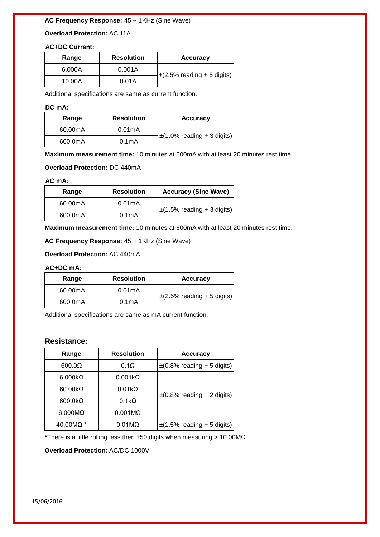# **AC Frequency Response:** 45 ~ 1KHz (Sine Wave)

**Overload Protection:** AC 11A

#### **AC+DC Current:**

| Range  | <b>Resolution</b> | <b>Accuracy</b>                 |
|--------|-------------------|---------------------------------|
| 6.000A | 0.001A            | $\pm$ (2.5% reading + 5 digits) |
| 10.00A | 0.01A             |                                 |

Additional specifications are same as current function.

#### **DC mA:**

| Range   | <b>Resolution</b>   | <b>Accuracy</b>                 |
|---------|---------------------|---------------------------------|
| 60.00mA | 0.01 <sub>m</sub> A |                                 |
| 600.0mA | 0.1 <sub>m</sub> A  | $\pm$ (1.0% reading + 3 digits) |

**Maximum measurement time:** 10 minutes at 600mA with at least 20 minutes rest time.

#### **Overload Protection:** DC 440mA

#### **AC mA:**

| Range   | <b>Resolution</b>  | <b>Accuracy (Sine Wave)</b>     |
|---------|--------------------|---------------------------------|
| 60.00mA | 0.01mA             |                                 |
| 600.0mA | 0.1 <sub>m</sub> A | $\pm$ (1.5% reading + 3 digits) |

**Maximum measurement time:** 10 minutes at 600mA with at least 20 minutes rest time.

**AC Frequency Response:** 45 ~ 1KHz (Sine Wave)

**Overload Protection:** AC 440mA

#### **AC+DC mA:**

| Range   | <b>Resolution</b>   | <b>Accuracy</b>                 |
|---------|---------------------|---------------------------------|
| 60.00mA | 0.01 <sub>m</sub> A |                                 |
| 600.0mA | 0.1 <sub>m</sub> A  | $\pm$ (2.5% reading + 5 digits) |

Additional specifications are same as mA current function.

# **Resistance:**

| Range           | <b>Resolution</b> | <b>Accuracy</b>                 |
|-----------------|-------------------|---------------------------------|
| $600.0\Omega$   | $0.1\Omega$       | $\pm$ (0.8% reading + 5 digits) |
| $6.000k\Omega$  | $0.001k\Omega$    |                                 |
| $60.00k\Omega$  | $0.01k\Omega$     |                                 |
| $600.0 k\Omega$ | $0.1k\Omega$      | $\pm$ (0.8% reading + 2 digits) |
| $6.000M\Omega$  | $0.001M\Omega$    |                                 |
| 40.00MΩ *       | $0.01M\Omega$     | $\pm$ (1.5% reading + 5 digits) |

**\***There is a little rolling less then ±50 digits when measuring > 10.00MΩ

**Overload Protection:** AC/DC 1000V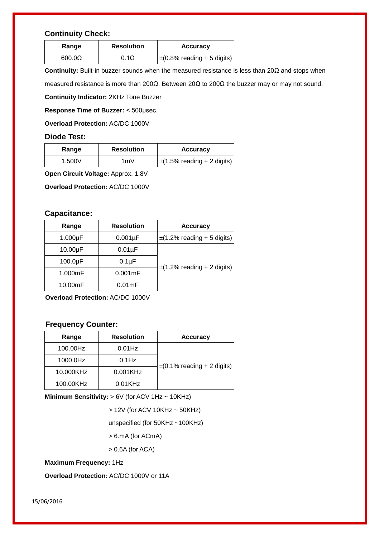# **Continuity Check:**

| Range         | <b>Resolution</b> | <b>Accuracy</b>                 |
|---------------|-------------------|---------------------------------|
| $600.0\Omega$ | $0.1\Omega$       | $\pm$ (0.8% reading + 5 digits) |

**Continuity:** Built-in buzzer sounds when the measured resistance is less than 20Ω and stops when

measured resistance is more than 200Ω. Between 20Ω to 200Ω the buzzer may or may not sound.

**Continuity Indicator:** 2KHz Tone Buzzer

**Response Time of Buzzer:** < 500μsec.

**Overload Protection:** AC/DC 1000V

## **Diode Test:**

| Range  | <b>Resolution</b> | <b>Accuracy</b>                 |
|--------|-------------------|---------------------------------|
| 1.500V | 1mV               | $\pm$ (1.5% reading + 2 digits) |

**Open Circuit Voltage:** Approx. 1.8V

**Overload Protection:** AC/DC 1000V

#### **Capacitance:**

| Range         | <b>Resolution</b>  | <b>Accuracy</b>                 |
|---------------|--------------------|---------------------------------|
| $1.000\mu F$  | $0.001\mu F$       | $\pm$ (1.2% reading + 5 digits) |
| $10.00\mu F$  | $0.01\mu F$        |                                 |
| $100.0 \mu F$ | 0.1 <sub>µ</sub> F |                                 |
| 1.000mF       | $0.001$ mF         | $\pm$ (1.2% reading + 2 digits) |
| 10.00mF       | 0.01 <sub>mF</sub> |                                 |

**Overload Protection:** AC/DC 1000V

# **Frequency Counter:**

| Range     | <b>Resolution</b> | <b>Accuracy</b>                 |
|-----------|-------------------|---------------------------------|
| 100.00Hz  | $0.01$ Hz         |                                 |
| 1000.0Hz  | $0.1$ Hz          | $\pm$ (0.1% reading + 2 digits) |
| 10.000KHz | 0.001KHz          |                                 |
| 100.00KHz | $0.01$ KHz        |                                 |

**Minimum Sensitivity: > 6V (for ACV 1Hz ~ 10KHz)** 

> 12V (for ACV 10KHz ~ 50KHz)

unspecified (for 50KHz ~100KHz)

> 6.mA (for ACmA)

> 0.6A (for ACA)

**Maximum Frequency:** 1Hz

**Overload Protection:** AC/DC 1000V or 11A